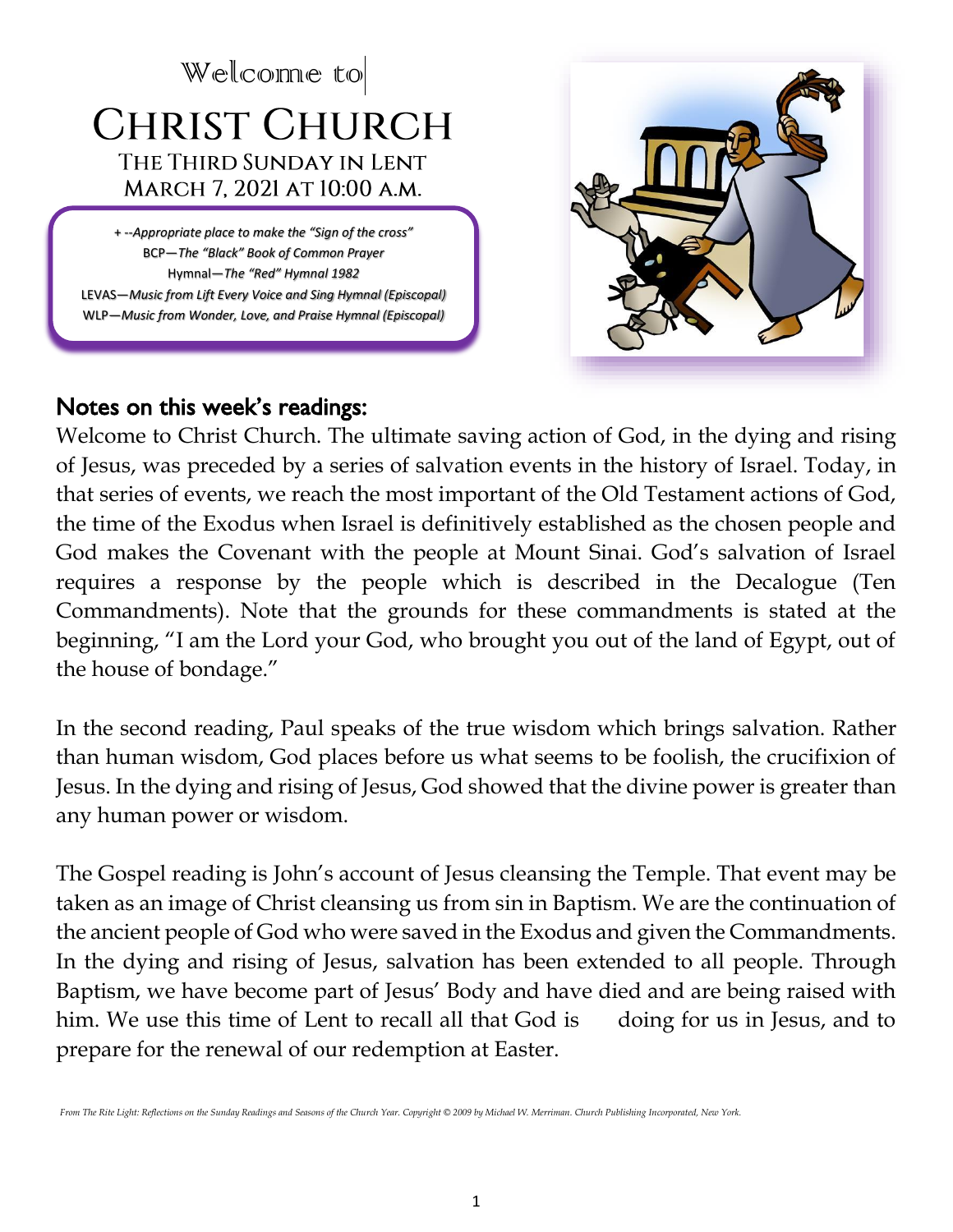# Welcome to **CHRIST CHURCH** THE THIRD SUNDAY IN LENT MARCH 7, 2021 AT 10:00 A.M.

+ --*Appropriate place to make the "Sign of the cross"* BCP—*The "Black" Book of Common Prayer* Hymnal—*The "Red" Hymnal 1982* LEVAS—*Music from Lift Every Voice and Sing Hymnal (Episcopal)* WLP—*Music from Wonder, Love, and Praise Hymnal (Episcopal)*

VF—*Voices Found Hymnal (Episcopal)*



## Notes on this week's readings:

Welcome to Christ Church. The ultimate saving action of God, in the dying and rising of Jesus, was preceded by a series of salvation events in the history of Israel. Today, in that series of events, we reach the most important of the Old Testament actions of God, the time of the Exodus when Israel is definitively established as the chosen people and God makes the Covenant with the people at Mount Sinai. God's salvation of Israel requires a response by the people which is described in the Decalogue (Ten Commandments). Note that the grounds for these commandments is stated at the beginning, "I am the Lord your God, who brought you out of the land of Egypt, out of the house of bondage."

In the second reading, Paul speaks of the true wisdom which brings salvation. Rather than human wisdom, God places before us what seems to be foolish, the crucifixion of Jesus. In the dying and rising of Jesus, God showed that the divine power is greater than any human power or wisdom.

The Gospel reading is John's account of Jesus cleansing the Temple. That event may be taken as an image of Christ cleansing us from sin in Baptism. We are the continuation of the ancient people of God who were saved in the Exodus and given the Commandments. In the dying and rising of Jesus, salvation has been extended to all people. Through Baptism, we have become part of Jesus' Body and have died and are being raised with him. We use this time of Lent to recall all that God is doing for us in Jesus, and to prepare for the renewal of our redemption at Easter.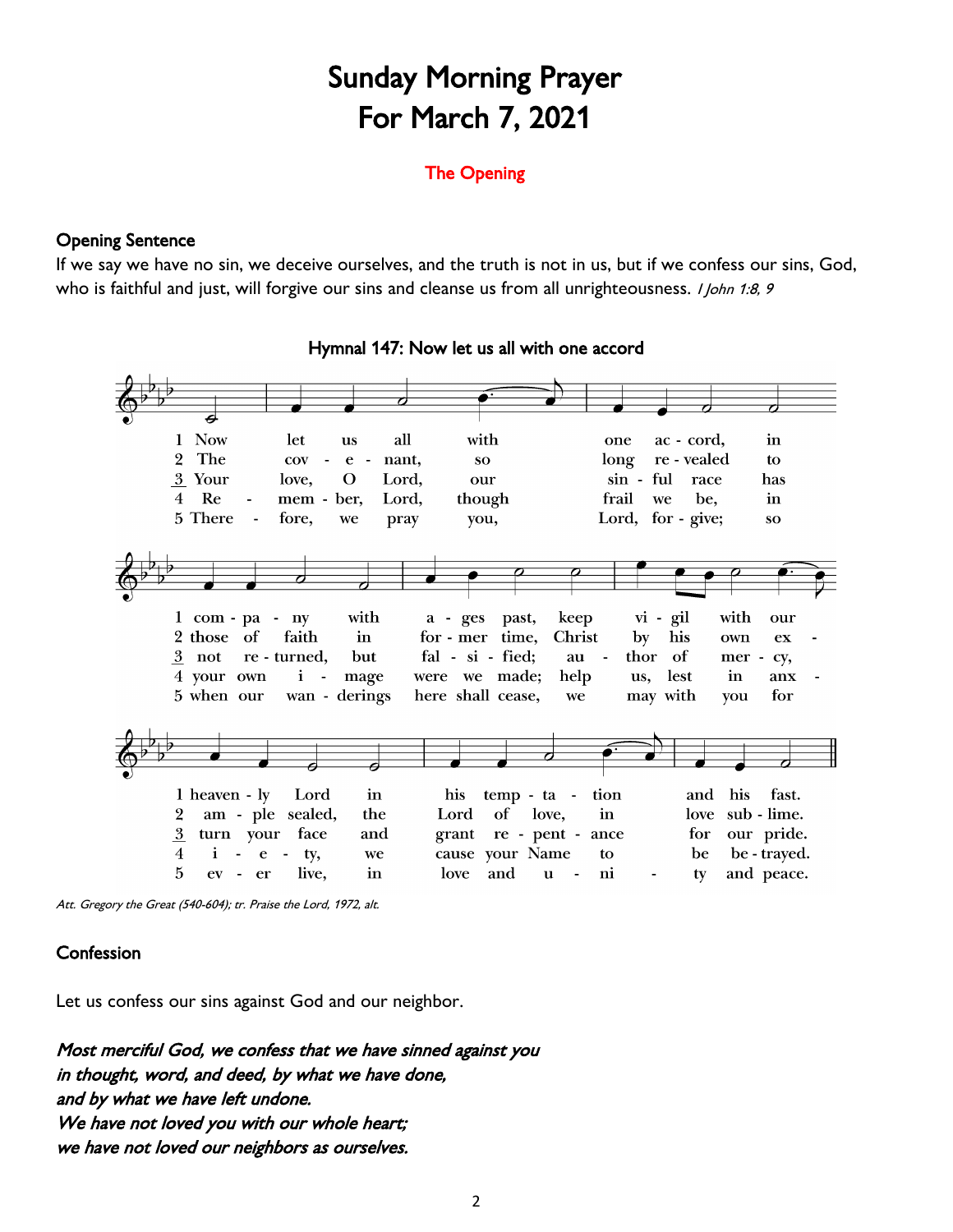## Sunday Morning Prayer For March 7, 2021

#### The Opening

#### Opening Sentence

If we say we have no sin, we deceive ourselves, and the truth is not in us, but if we confess our sins, God, who is faithful and just, will forgive our sins and cleanse us from all unrighteousness. *I John 1:8, 9* 



#### Hymnal 147: Now let us all with one accord

Att. Gregory the Great (540-604); tr. Praise the Lord, 1972, alt.

#### **Confession**

Let us confess our sins against God and our neighbor.

Most merciful God, we confess that we have sinned against you in thought, word, and deed, by what we have done, and by what we have left undone. We have not loved you with our whole heart; we have not loved our neighbors as ourselves.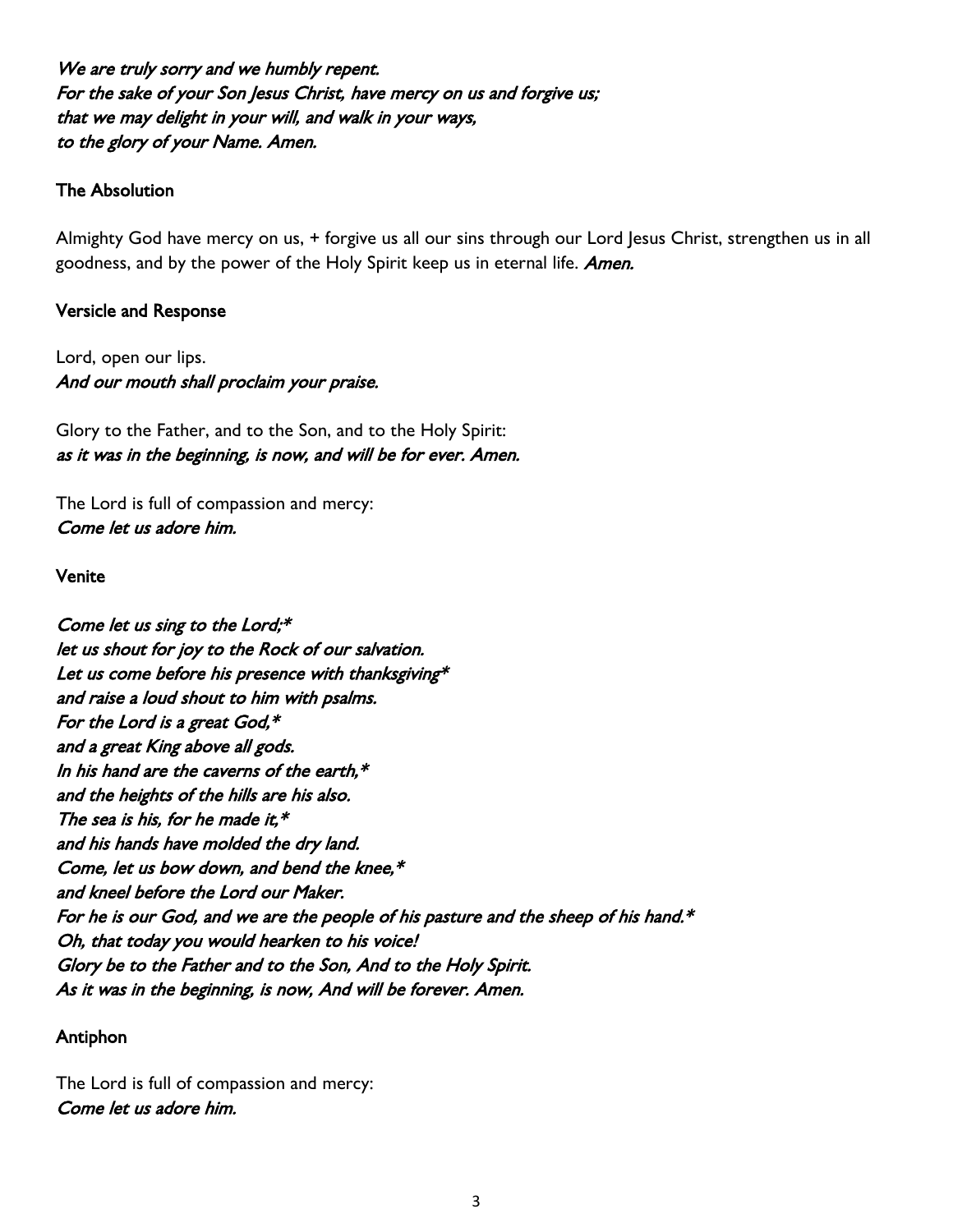We are truly sorry and we humbly repent. For the sake of your Son Jesus Christ, have mercy on us and forgive us; that we may delight in your will, and walk in your ways, to the glory of your Name. Amen.

#### The Absolution

Almighty God have mercy on us, + forgive us all our sins through our Lord Jesus Christ, strengthen us in all goodness, and by the power of the Holy Spirit keep us in eternal life. Amen.

#### Versicle and Response

Lord, open our lips. And our mouth shall proclaim your praise.

Glory to the Father, and to the Son, and to the Holy Spirit: as it was in the beginning, is now, and will be for ever. Amen.

The Lord is full of compassion and mercy: Come let us adore him.

#### Venite

Come let us sing to the Lord;\* let us shout for joy to the Rock of our salvation. Let us come before his presence with thanksgiving\* and raise a loud shout to him with psalms. For the Lord is a great God,\* and a great King above all gods. In his hand are the caverns of the earth, $*$ and the heights of the hills are his also. The sea is his, for he made it,  $*$ and his hands have molded the dry land. Come, let us bow down, and bend the knee,\* and kneel before the Lord our Maker. For he is our God, and we are the people of his pasture and the sheep of his hand.\* Oh, that today you would hearken to his voice! Glory be to the Father and to the Son, And to the Holy Spirit. As it was in the beginning, is now, And will be forever. Amen.

#### Antiphon

The Lord is full of compassion and mercy: Come let us adore him.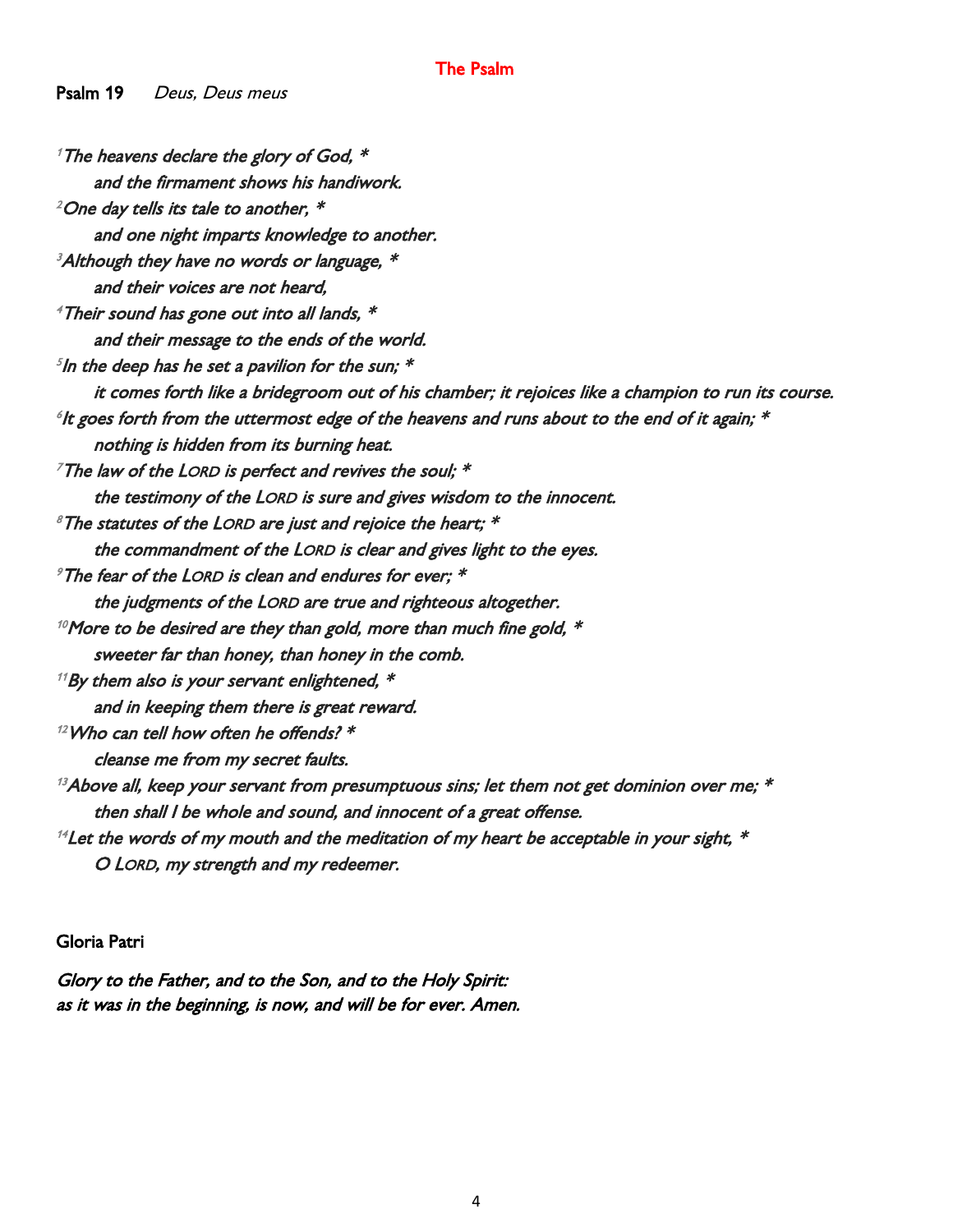#### The Psalm

Psalm 19 Deus, Deus meus

<sup>1</sup> The heavens declare the glory of God,  $*$ and the firmament shows his handiwork.  $^{2}$ One day tells its tale to another,  $^{\ast}$ and one night imparts knowledge to another.  $3$ Although they have no words or language,  $*$ and their voices are not heard,  $^4$ Their sound has gone out into all lands,  $^*$ and their message to the ends of the world.  ${}^5$ In the deep has he set a pavilion for the sun;  $^{\ast}$ it comes forth like a bridegroom out of his chamber; it rejoices like a champion to run its course.  $^{\circ}$ It goes forth from the uttermost edge of the heavens and runs about to the end of it again;  $^*$ nothing is hidden from its burning heat.  $7$ The law of the LORD is perfect and revives the soul:  $*$ the testimony of the LORD is sure and gives wisdom to the innocent.  $8$ The statutes of the LORD are just and rejoice the heart;  $*$ the commandment of the LORD is clear and gives light to the eyes.  $\mathscr I$ The fear of the LORD is clean and endures for ever;  $\mathscr *$ the judgments of the LORD are true and righteous altogether.  $10$ More to be desired are they than gold, more than much fine gold,  $\ast$ sweeter far than honey, than honey in the comb.  $11$ By them also is your servant enlightened,  $*$ and in keeping them there is great reward.  $12$  Who can tell how often he offends?  $*$ cleanse me from my secret faults.  $13A$ bove all, keep your servant from presumptuous sins; let them not get dominion over me;  $*$ then shall I be whole and sound, and innocent of a great offense.  $14$  Let the words of my mouth and the meditation of my heart be acceptable in your sight,  $*$ O LORD, my strength and my redeemer.

Gloria Patri

Glory to the Father, and to the Son, and to the Holy Spirit: as it was in the beginning, is now, and will be for ever. Amen.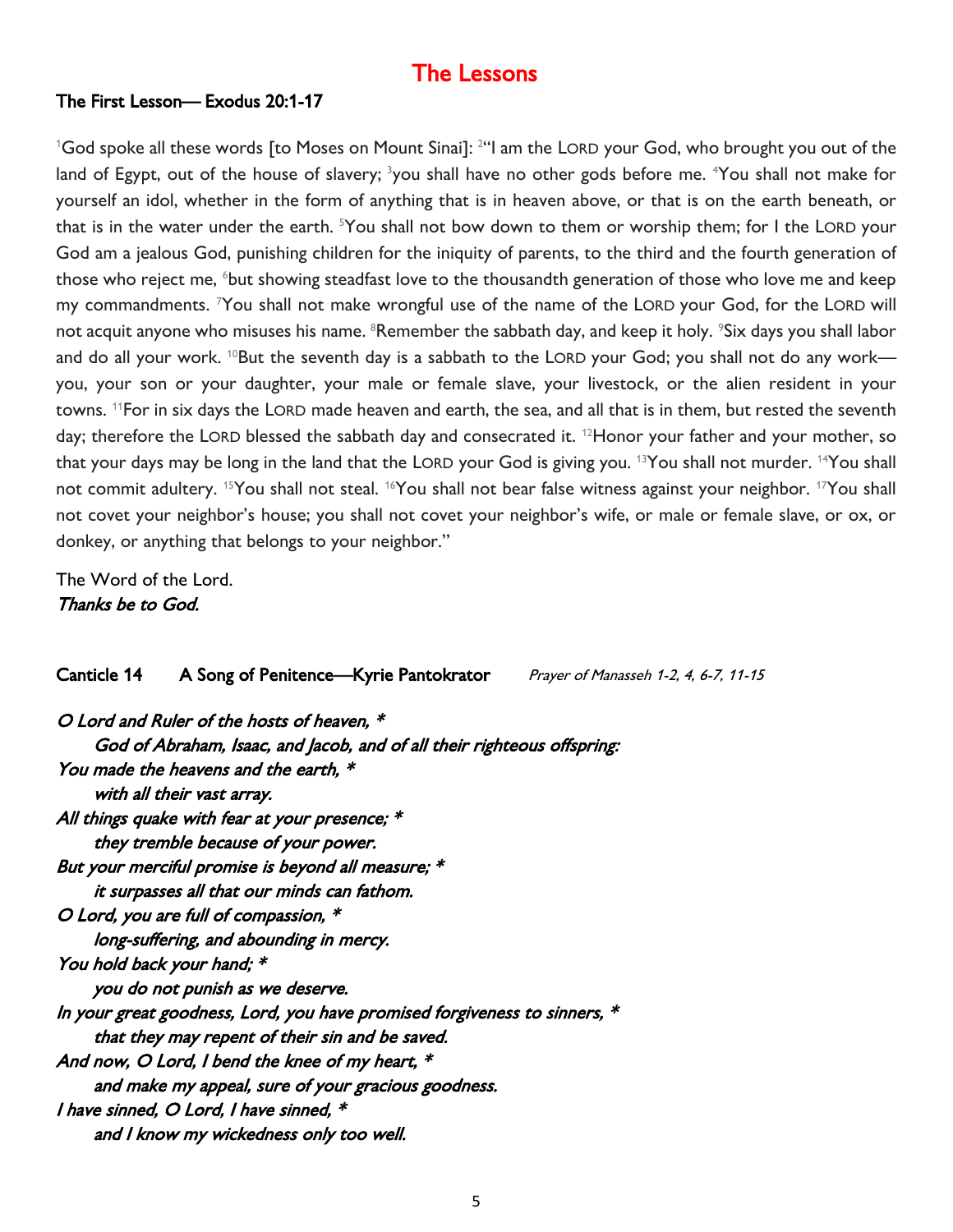### The Lessons

#### The First Lesson— Exodus 20:1-17

 ${}^{1}$ God spoke all these words [to Moses on Mount Sinai]:  ${}^{24}$ l am the LORD your God, who brought you out of the land of Egypt, out of the house of slavery; <sup>3</sup>you shall have no other gods before me. <sup>4</sup>You shall not make for yourself an idol, whether in the form of anything that is in heaven above, or that is on the earth beneath, or that is in the water under the earth. <sup>5</sup>You shall not bow down to them or worship them; for I the LORD your God am a jealous God, punishing children for the iniquity of parents, to the third and the fourth generation of those who reject me, <sup>6</sup>but showing steadfast love to the thousandth generation of those who love me and keep my commandments. <sup>7</sup>You shall not make wrongful use of the name of the LORD your God, for the LORD will not acquit anyone who misuses his name. <sup>8</sup>Remember the sabbath day, and keep it holy. <sup>9</sup>Six days you shall labor and do all your work. <sup>10</sup>But the seventh day is a sabbath to the LORD your God; you shall not do any work you, your son or your daughter, your male or female slave, your livestock, or the alien resident in your towns. <sup>11</sup>For in six days the LORD made heaven and earth, the sea, and all that is in them, but rested the seventh day; therefore the LORD blessed the sabbath day and consecrated it. <sup>12</sup>Honor your father and your mother, so that your days may be long in the land that the LORD your God is giving you. <sup>13</sup>You shall not murder. <sup>14</sup>You shall not commit adultery. <sup>15</sup>You shall not steal. <sup>16</sup>You shall not bear false witness against your neighbor. <sup>17</sup>You shall not covet your neighbor's house; you shall not covet your neighbor's wife, or male or female slave, or ox, or donkey, or anything that belongs to your neighbor."

The Word of the Lord. Thanks be to God.

#### Canticle 14 A Song of Penitence—Kyrie Pantokrator Prayer of Manasseh 1-2, 4, 6-7, 11-15

| O Lord and Ruler of the hosts of heaven, *                                |
|---------------------------------------------------------------------------|
| God of Abraham, Isaac, and Jacob, and of all their righteous offspring:   |
| You made the heavens and the earth, *                                     |
| with all their vast array.                                                |
| All things quake with fear at your presence; *                            |
| they tremble because of your power.                                       |
| But your merciful promise is beyond all measure; *                        |
| it surpasses all that our minds can fathom.                               |
| O Lord, you are full of compassion, *                                     |
| long-suffering, and abounding in mercy.                                   |
| You hold back your hand; *                                                |
| you do not punish as we deserve.                                          |
| In your great goodness, Lord, you have promised forgiveness to sinners, * |
| that they may repent of their sin and be saved.                           |
| And now, O Lord, I bend the knee of my heart, *                           |
| and make my appeal, sure of your gracious goodness.                       |
| I have sinned, O Lord, I have sinned, *                                   |
| and I know my wickedness only too well.                                   |
|                                                                           |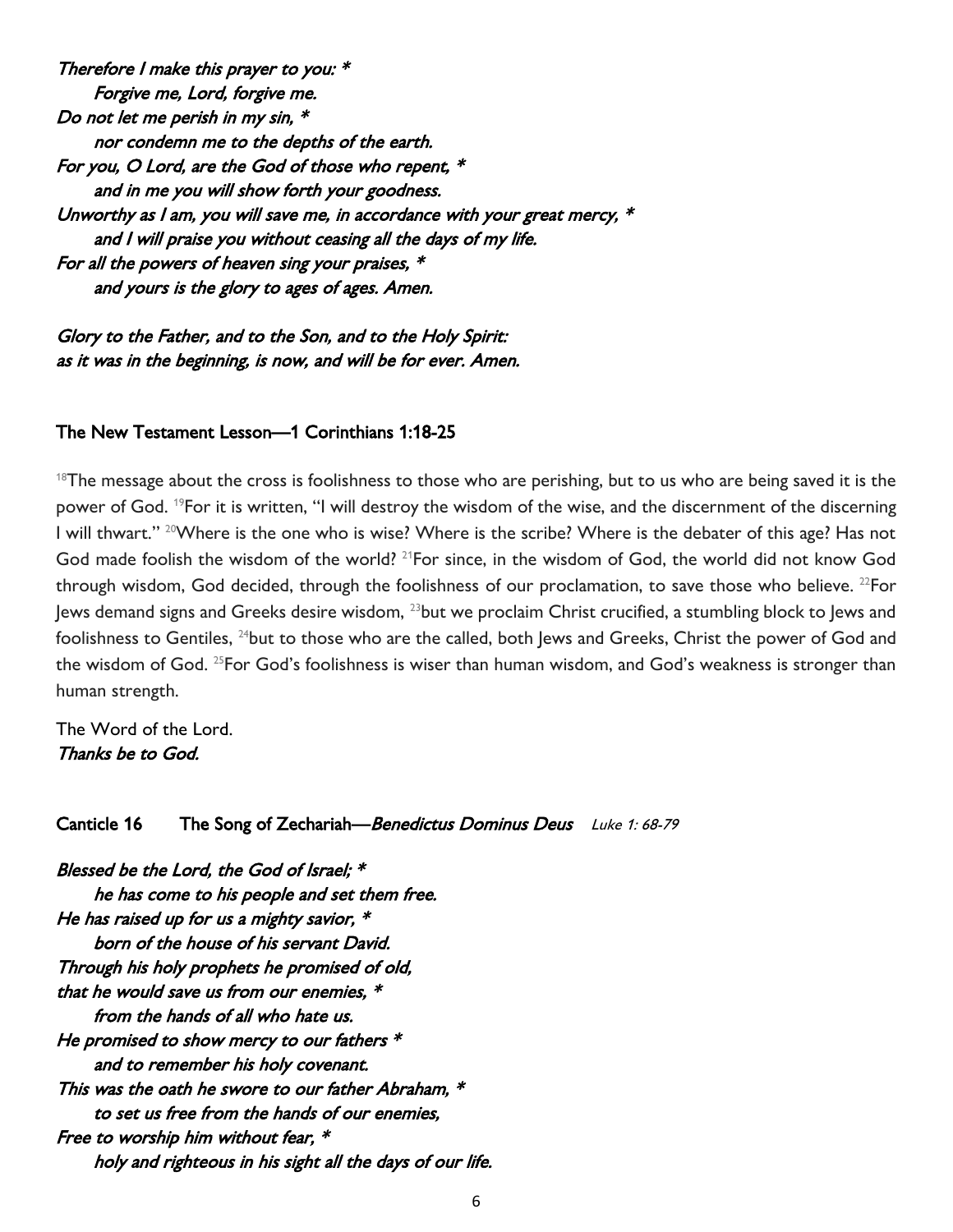Therefore I make this prayer to you: \* Forgive me, Lord, forgive me. Do not let me perish in my sin, \* nor condemn me to the depths of the earth. For you, O Lord, are the God of those who repent, \* and in me you will show forth your goodness. Unworthy as I am, you will save me, in accordance with your great mercy,  $*$  and I will praise you without ceasing all the days of my life. For all the powers of heaven sing your praises, \* and yours is the glory to ages of ages. Amen.

Glory to the Father, and to the Son, and to the Holy Spirit: as it was in the beginning, is now, and will be for ever. Amen.

#### The New Testament Lesson—1 Corinthians 1:18-25

 $18$ The message about the cross is foolishness to those who are perishing, but to us who are being saved it is the power of God. <sup>19</sup>For it is written, "I will destroy the wisdom of the wise, and the discernment of the discerning I will thwart." <sup>20</sup>Where is the one who is wise? Where is the scribe? Where is the debater of this age? Has not God made foolish the wisdom of the world? <sup>21</sup>For since, in the wisdom of God, the world did not know God through wisdom, God decided, through the foolishness of our proclamation, to save those who believe. <sup>22</sup>For Jews demand signs and Greeks desire wisdom, <sup>23</sup>but we proclaim Christ crucified, a stumbling block to Jews and foolishness to Gentiles, <sup>24</sup>but to those who are the called, both Jews and Greeks, Christ the power of God and the wisdom of God. <sup>25</sup>For God's foolishness is wiser than human wisdom, and God's weakness is stronger than human strength.

The Word of the Lord. Thanks be to God.

#### Canticle 16 The Song of Zechariah—Benedictus Dominus Deus Luke 1: 68-79

Blessed be the Lord, the God of Israel; \* he has come to his people and set them free. He has raised up for us a mighty savior,  $*$  born of the house of his servant David. Through his holy prophets he promised of old, that he would save us from our enemies, \* from the hands of all who hate us. He promised to show mercy to our fathers  $*$  and to remember his holy covenant. This was the oath he swore to our father Abraham, \* to set us free from the hands of our enemies, Free to worship him without fear,  $*$ holy and righteous in his sight all the days of our life.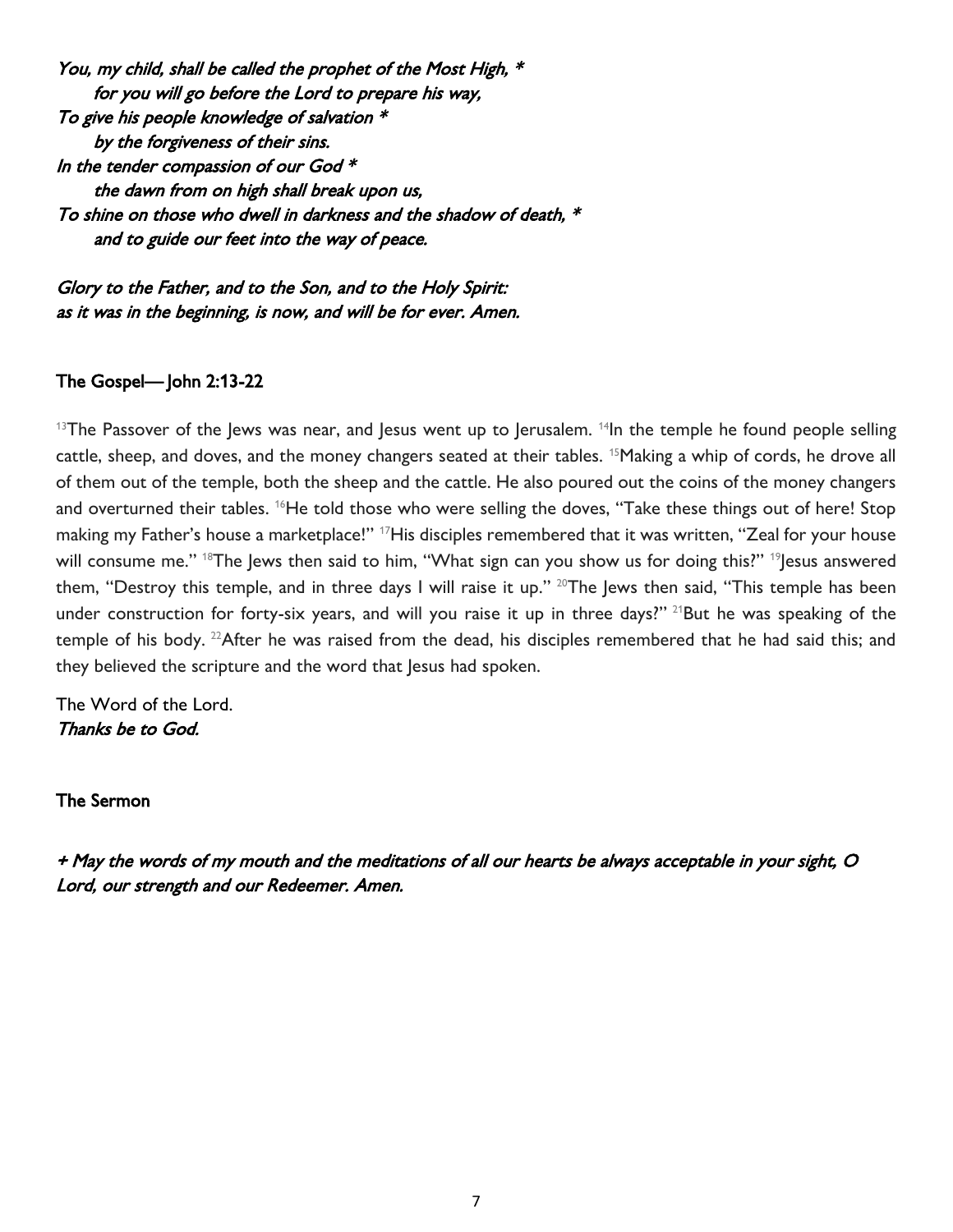You, my child, shall be called the prophet of the Most High, \* for you will go before the Lord to prepare his way, To give his people knowledge of salvation \* by the forgiveness of their sins. In the tender compassion of our God  $*$  the dawn from on high shall break upon us, To shine on those who dwell in darkness and the shadow of death, \* and to guide our feet into the way of peace.

Glory to the Father, and to the Son, and to the Holy Spirit: as it was in the beginning, is now, and will be for ever. Amen.

#### The Gospel— John 2:13-22

 $13$ The Passover of the Jews was near, and Jesus went up to Jerusalem.  $14$ In the temple he found people selling cattle, sheep, and doves, and the money changers seated at their tables. <sup>15</sup>Making a whip of cords, he drove all of them out of the temple, both the sheep and the cattle. He also poured out the coins of the money changers and overturned their tables. <sup>16</sup>He told those who were selling the doves, "Take these things out of here! Stop making my Father's house a marketplace!" <sup>17</sup>His disciples remembered that it was written, "Zeal for your house will consume me." <sup>18</sup>The Jews then said to him, "What sign can you show us for doing this?" <sup>19</sup>Jesus answered them, "Destroy this temple, and in three days I will raise it up." <sup>20</sup>The Jews then said, "This temple has been under construction for forty-six years, and will you raise it up in three days?" <sup>21</sup>But he was speaking of the temple of his body. <sup>22</sup>After he was raised from the dead, his disciples remembered that he had said this; and they believed the scripture and the word that Jesus had spoken.

The Word of the Lord. Thanks be to God.

The Sermon

+ May the words of my mouth and the meditations of all our hearts be always acceptable in your sight, O Lord, our strength and our Redeemer. Amen.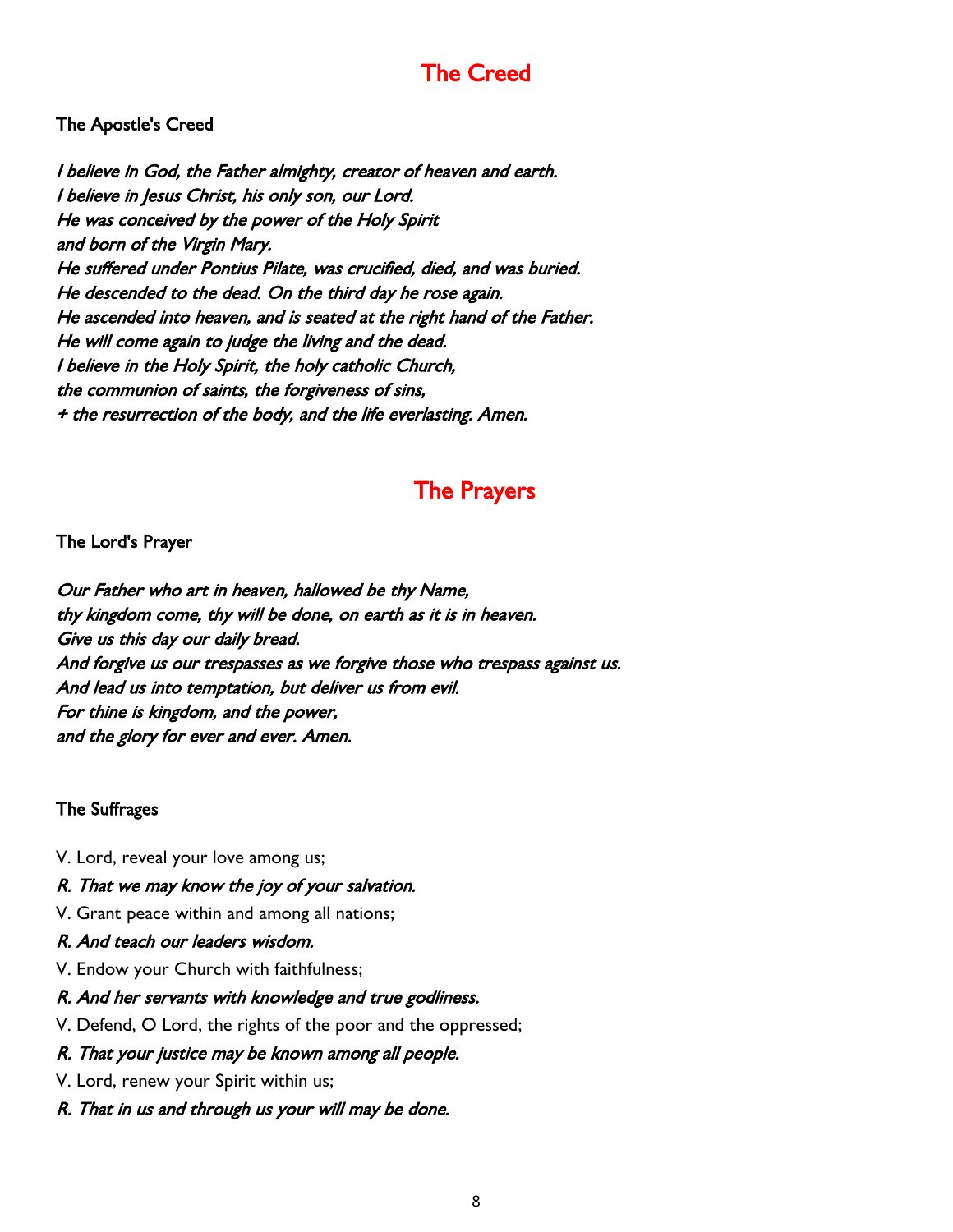## The Creed

#### The Apostle's Creed

I believe in God, the Father almighty, creator of heaven and earth. I believe in Jesus Christ, his only son, our Lord. He was conceived by the power of the Holy Spirit and born of the Virgin Mary. He suffered under Pontius Pilate, was crucified, died, and was buried. He descended to the dead. On the third day he rose again. He ascended into heaven, and is seated at the right hand of the Father. He will come again to judge the living and the dead. I believe in the Holy Spirit, the holy catholic Church, the communion of saints, the forgiveness of sins, + the resurrection of the body, and the life everlasting. Amen.

## The Prayers

#### The Lord's Prayer

Our Father who art in heaven, hallowed be thy Name, thy kingdom come, thy will be done, on earth as it is in heaven. Give us this day our daily bread. And forgive us our trespasses as we forgive those who trespass against us. And lead us into temptation, but deliver us from evil. For thine is kingdom, and the power, and the glory for ever and ever. Amen.

#### The Suffrages

V. Lord, reveal your love among us;

#### R. That we may know the joy of your salvation.

- V. Grant peace within and among all nations;
- R. And teach our leaders wisdom.
- V. Endow your Church with faithfulness;
- R. And her servants with knowledge and true godliness.
- V. Defend, O Lord, the rights of the poor and the oppressed;

#### R. That your justice may be known among all people.

- V. Lord, renew your Spirit within us;
- R. That in us and through us your will may be done.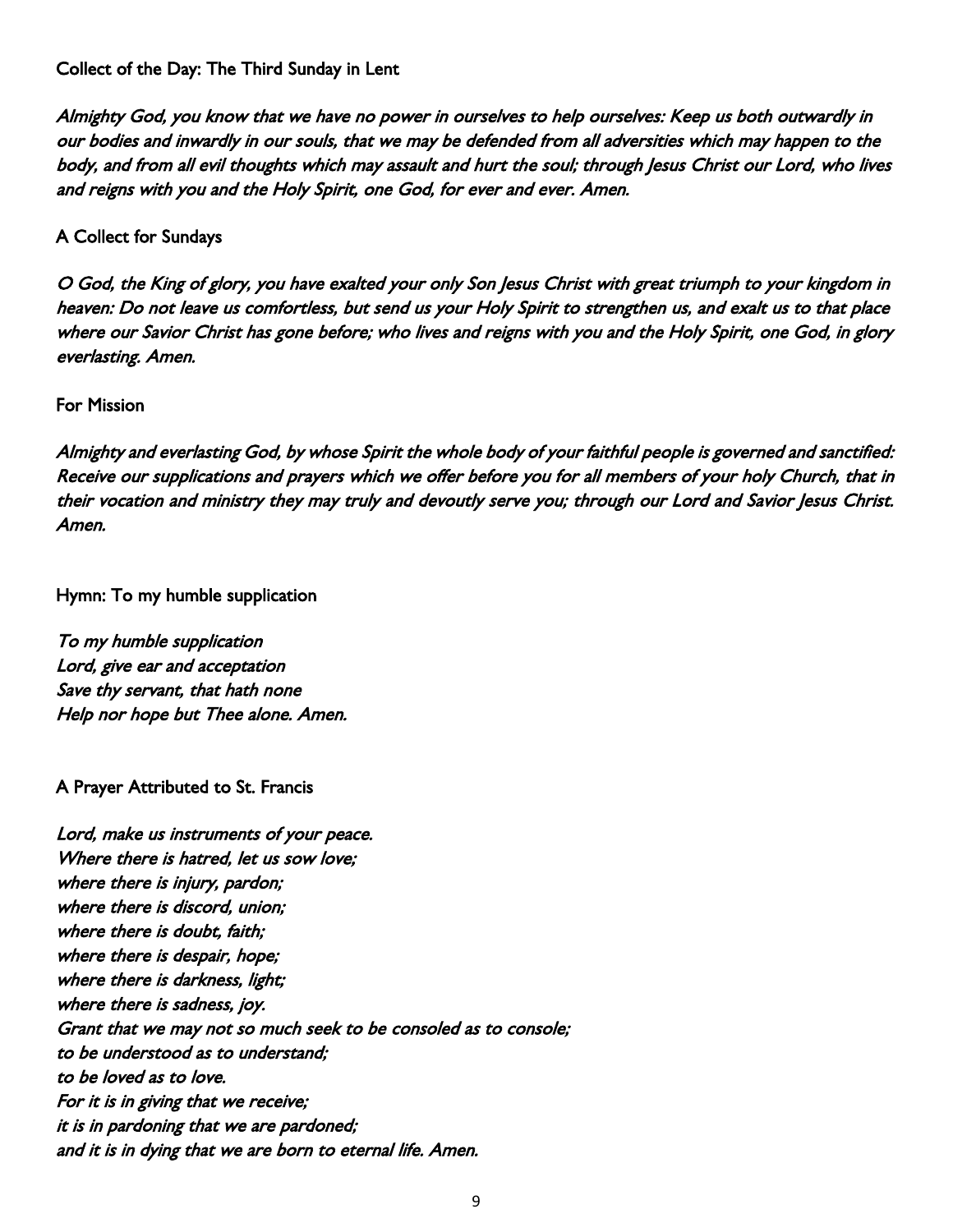#### Collect of the Day: The Third Sunday in Lent

Almighty God, you know that we have no power in ourselves to help ourselves: Keep us both outwardly in our bodies and inwardly in our souls, that we may be defended from all adversities which may happen to the body, and from all evil thoughts which may assault and hurt the soul; through Jesus Christ our Lord, who lives and reigns with you and the Holy Spirit, one God, for ever and ever. Amen.

#### A Collect for Sundays

O God, the King of glory, you have exalted your only Son Jesus Christ with great triumph to your kingdom in heaven: Do not leave us comfortless, but send us your Holy Spirit to strengthen us, and exalt us to that place where our Savior Christ has gone before; who lives and reigns with you and the Holy Spirit, one God, in glory everlasting. Amen.

#### For Mission

Almighty and everlasting God, by whose Spirit the whole body of your faithful people is governed and sanctified: Receive our supplications and prayers which we offer before you for all members of your holy Church, that in their vocation and ministry they may truly and devoutly serve you; through our Lord and Savior Jesus Christ. Amen.

#### Hymn: To my humble supplication

To my humble supplication Lord, give ear and acceptation Save thy servant, that hath none Help nor hope but Thee alone. Amen.

#### A Prayer Attributed to St. Francis

Lord, make us instruments of your peace. Where there is hatred, let us sow love: where there is injury, pardon; where there is discord, union; where there is doubt, faith; where there is despair, hope; where there is darkness, light; where there is sadness, joy. Grant that we may not so much seek to be consoled as to console; to be understood as to understand; to be loved as to love. For it is in giving that we receive; it is in pardoning that we are pardoned; and it is in dying that we are born to eternal life. Amen.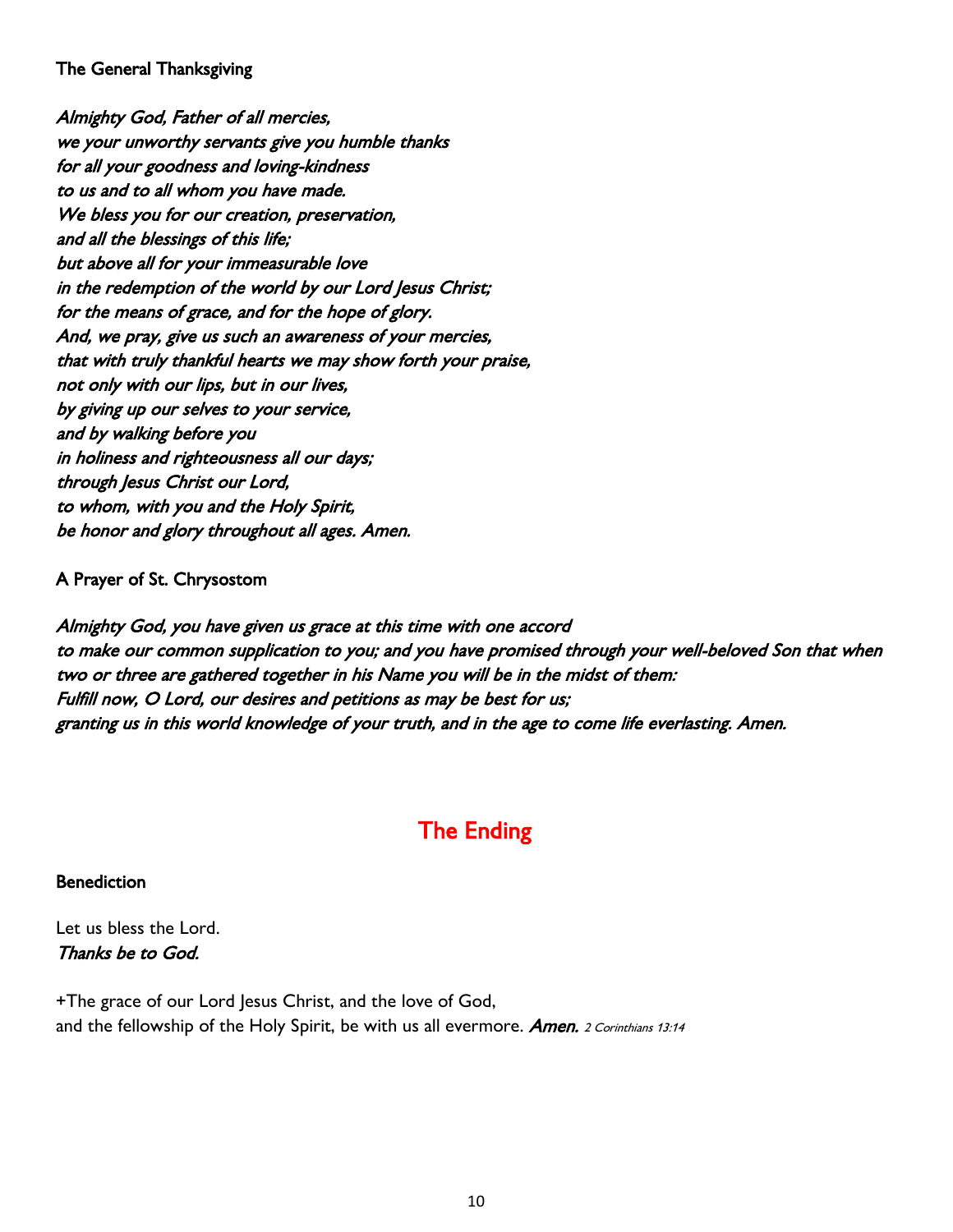#### The General Thanksgiving

Almighty God, Father of all mercies, we your unworthy servants give you humble thanks for all your goodness and loving-kindness to us and to all whom you have made. We bless you for our creation, preservation, and all the blessings of this life; but above all for your immeasurable love in the redemption of the world by our Lord Jesus Christ; for the means of grace, and for the hope of glory. And, we pray, give us such an awareness of your mercies, that with truly thankful hearts we may show forth your praise, not only with our lips, but in our lives, by giving up our selves to your service, and by walking before you in holiness and righteousness all our days; through Jesus Christ our Lord, to whom, with you and the Holy Spirit, be honor and glory throughout all ages. Amen.

#### A Prayer of St. Chrysostom

Almighty God, you have given us grace at this time with one accord to make our common supplication to you; and you have promised through your well-beloved Son that when two or three are gathered together in his Name you will be in the midst of them: Fulfill now, O Lord, our desires and petitions as may be best for us; granting us in this world knowledge of your truth, and in the age to come life everlasting. Amen.

## The Ending

#### Benediction

Let us bless the Lord. Thanks be to God.

+The grace of our Lord Jesus Christ, and the love of God, and the fellowship of the Holy Spirit, be with us all evermore. Amen. 2 Corinthians 13:14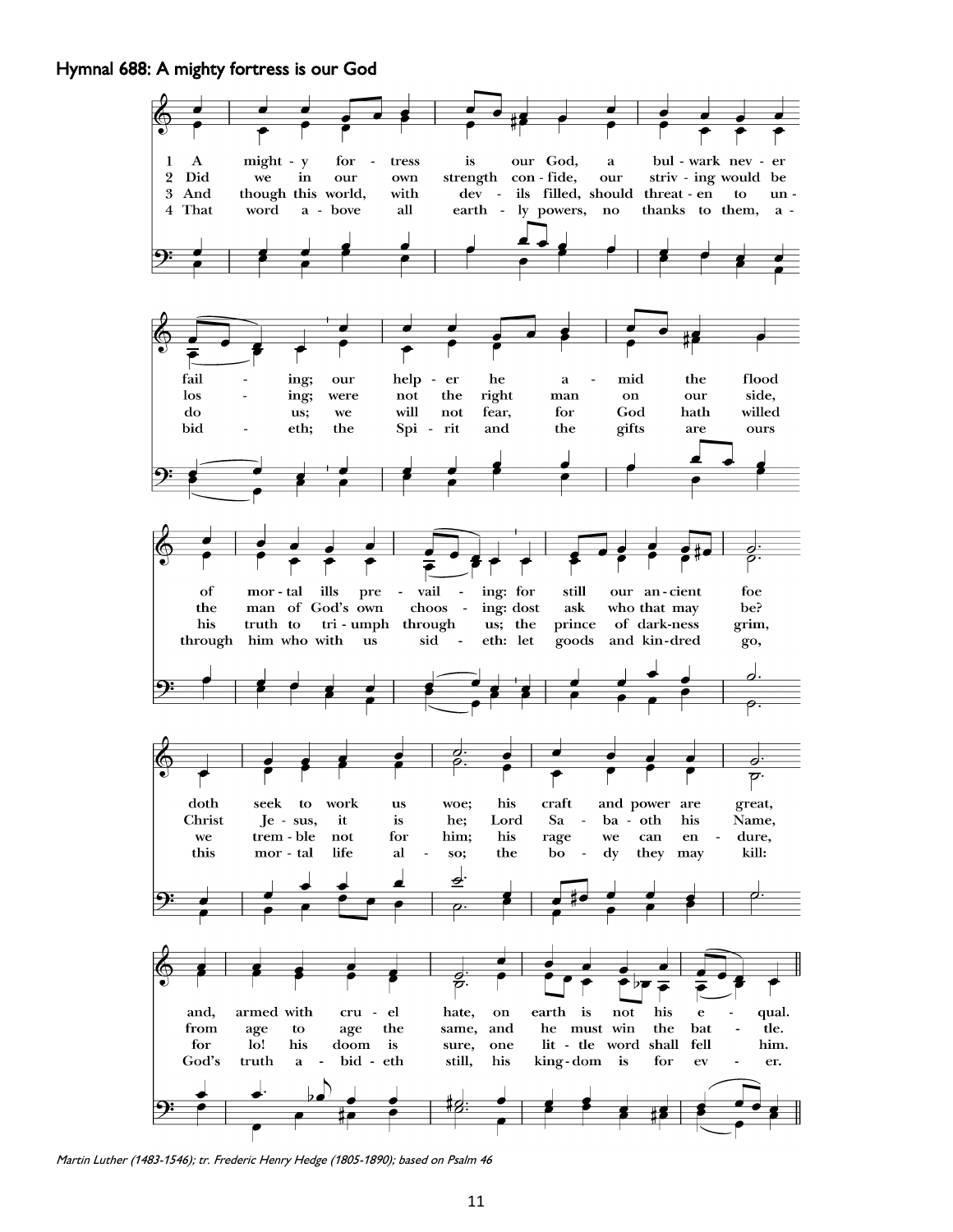#### Hymnal 688: A mighty fortress is our God



Martin Luther (1483-1546); tr. Frederic Henry Hedge (1805-1890); based on Psalm 46